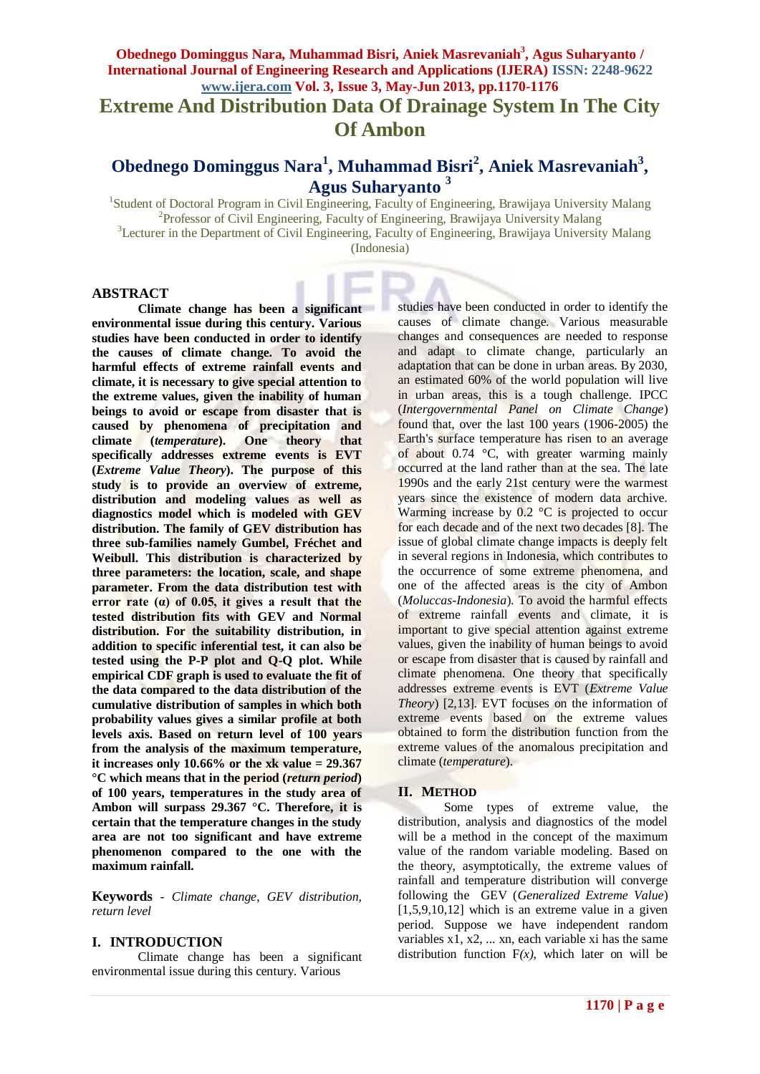**Extreme And Distribution Data Of Drainage System In The City Of Ambon**

# **Obednego Dominggus Nara<sup>1</sup> , Muhammad Bisri<sup>2</sup> , Aniek Masrevaniah<sup>3</sup> , Agus Suharyanto <sup>3</sup>**

<sup>1</sup>Student of Doctoral Program in Civil Engineering, Faculty of Engineering, Brawijaya University Malang <sup>2</sup>Professor of Civil Engineering, Faculty of Engineering, Brawijaya University Malang <sup>3</sup>Lecturer in the Department of Civil Engineering, Faculty of Engineering, Brawijaya University Malang

(Indonesia)

### **ABSTRACT**

**Climate change has been a significant environmental issue during this century. Various studies have been conducted in order to identify the causes of climate change. To avoid the harmful effects of extreme rainfall events and climate, it is necessary to give special attention to the extreme values, given the inability of human beings to avoid or escape from disaster that is caused by phenomena of precipitation and climate (***temperature***). One theory that specifically addresses extreme events is EVT (***Extreme Value Theory***). The purpose of this study is to provide an overview of extreme, distribution and modeling values as well as diagnostics model which is modeled with GEV distribution. The family of GEV distribution has three sub-families namely Gumbel, Fréchet and Weibull. This distribution is characterized by three parameters: the location, scale, and shape parameter. From the data distribution test with error rate (α) of 0.05, it gives a result that the tested distribution fits with GEV and Normal distribution. For the suitability distribution, in addition to specific inferential test, it can also be tested using the P-P plot and Q-Q plot. While empirical CDF graph is used to evaluate the fit of the data compared to the data distribution of the cumulative distribution of samples in which both probability values gives a similar profile at both levels axis. Based on return level of 100 years from the analysis of the maximum temperature, it increases only 10.66% or the xk value = 29.367 °C which means that in the period (***return period***) of 100 years, temperatures in the study area of Ambon will surpass 29.367 °C. Therefore, it is certain that the temperature changes in the study area are not too significant and have extreme phenomenon compared to the one with the maximum rainfall.**

**Keywords** *- Climate change, GEV distribution, return level*

# **I. INTRODUCTION**

Climate change has been a significant environmental issue during this century. Various

studies have been conducted in order to identify the causes of climate change. Various measurable changes and consequences are needed to response and adapt to climate change, particularly an adaptation that can be done in urban areas. By 2030, an estimated 60% of the world population will live in urban areas, this is a tough challenge. IPCC (*Intergovernmental Panel on Climate Change*) found that, over the last 100 years (1906-2005) the Earth's surface temperature has risen to an average of about 0.74 °C, with greater warming mainly occurred at the land rather than at the sea. The late 1990s and the early 21st century were the warmest years since the existence of modern data archive. Warming increase by  $0.2 \text{ °C}$  is projected to occur for each decade and of the next two decades [8]. The issue of global climate change impacts is deeply felt in several regions in Indonesia, which contributes to the occurrence of some extreme phenomena, and one of the affected areas is the city of Ambon (*Moluccas-Indonesia*). To avoid the harmful effects of extreme rainfall events and climate, it is important to give special attention against extreme values, given the inability of human beings to avoid or escape from disaster that is caused by rainfall and climate phenomena. One theory that specifically addresses extreme events is EVT (*Extreme Value Theory*) [2,13]. EVT focuses on the information of extreme events based on the extreme values obtained to form the distribution function from the extreme values of the anomalous precipitation and climate (*temperature*).

#### **II. METHOD**

Some types of extreme value, the distribution, analysis and diagnostics of the model will be a method in the concept of the maximum value of the random variable modeling. Based on the theory, asymptotically, the extreme values of rainfall and temperature distribution will converge following the GEV (*Generalized Extreme Value*) [1,5,9,10,12] which is an extreme value in a given period. Suppose we have independent random variables  $x1, x2, \ldots xn$ , each variable xi has the same distribution function  $F(x)$ , which later on will be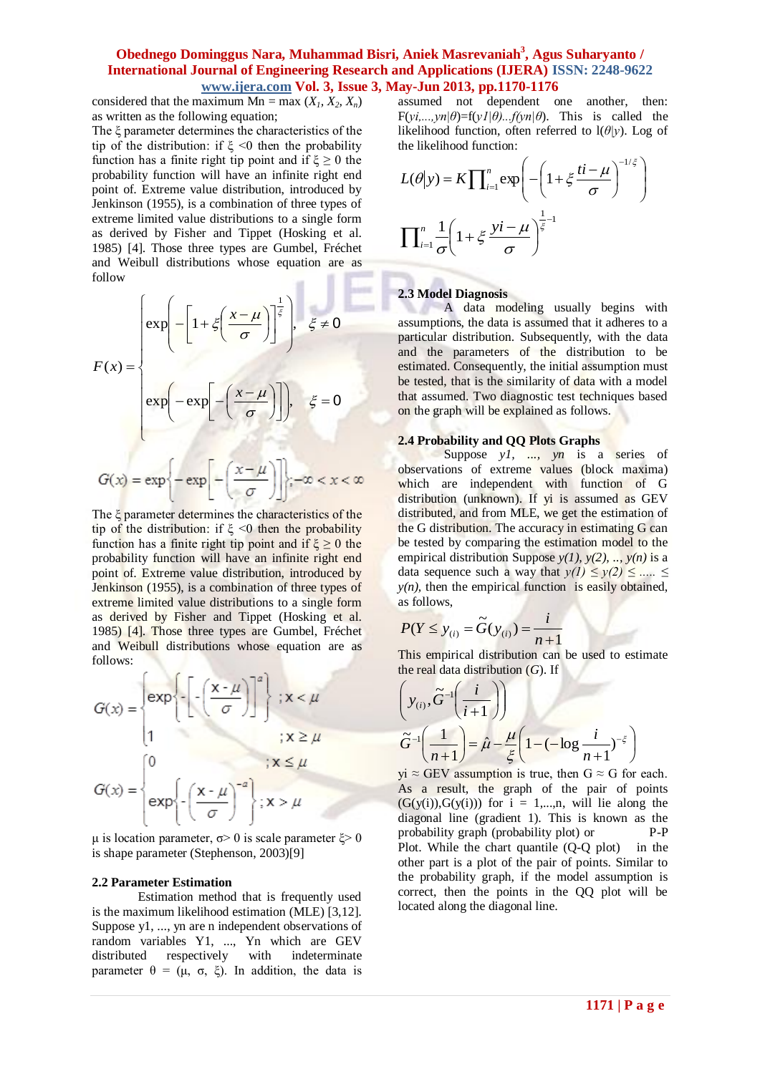considered that the maximum  $Mn = max(X_1, X_2, X_n)$ as written as the following equation;

The ξ parameter determines the characteristics of the tip of the distribution: if  $\xi \leq 0$  then the probability function has a finite right tip point and if  $\xi \ge 0$  the probability function will have an infinite right end point of. Extreme value distribution, introduced by Jenkinson (1955), is a combination of three types of extreme limited value distributions to a single form as derived by Fisher and Tippet (Hosking et al. 1985) [4]. Those three types are Gumbel, Fréchet and Weibull distributions whose equation are as follow  $\alpha$ ÷

$$
F(x) = \begin{cases} exp\left(-\left[1 + \zeta\left(\frac{x-\mu}{\sigma}\right)\right]^{\frac{1}{\zeta}}\right), & \zeta \neq 0\\ exp\left(-exp\left[-\left(\frac{x-\mu}{\sigma}\right)\right]\right), & \zeta = 0 \end{cases}
$$

$$
G(x) = exp\left\{-exp\left[-\left(\frac{x-\mu}{\sigma}\right)\right]\right\}, -\infty < x < \infty
$$

The ξ parameter determines the characteristics of the tip of the distribution: if  $\xi \leq 0$  then the probability function has a finite right tip point and if  $\xi \ge 0$  the probability function will have an infinite right end point of. Extreme value distribution, introduced by Jenkinson (1955), is a combination of three types of extreme limited value distributions to a single form as derived by Fisher and Tippet (Hosking et al. 1985) [4]. Those three types are Gumbel, Fréchet and Weibull distributions whose equation are as follows:

$$
G(x) = \begin{cases} exp \left\{-\left[\frac{x-\mu}{\sigma}\right]\right\}^{a}; x < \mu \\ 1 & ; x \ge \mu \end{cases}
$$

$$
G(x) = \begin{cases} 0 & ; x \le \mu \\ exp \left\{-\left(\frac{x-\mu}{\sigma}\right)^{-a}\right\}; x > \mu \end{cases}
$$

μ is location parameter,  $\sigma$  > 0 is scale parameter  $ξ$  > 0 is shape parameter (Stephenson, 2003)[9]

#### **2.2 Parameter Estimation**

Estimation method that is frequently used is the maximum likelihood estimation (MLE) [3,12]. Suppose y1, ..., yn are n independent observations of random variables Y1, ..., Yn which are GEV distributed respectively with indeterminate parameter  $θ = (μ, σ, ξ)$ . In addition, the data is assumed not dependent one another, then:  $F(y_i,...,y_n|\theta)=f(y_i|\theta)...f(y_n|\theta)$ . This is called the likelihood function, often referred to l(*θ|y*). Log of the likelihood function:

$$
L(\theta|y) = K \prod_{i=1}^{n} \exp\left(-\left(1 + \xi \frac{ti - \mu}{\sigma}\right)^{-1/\xi}\right)
$$

$$
\prod_{i=1}^{n} \frac{1}{\sigma} \left(1 + \xi \frac{yi - \mu}{\sigma}\right)^{\frac{1}{\xi} - 1}
$$

#### **2.3 Model Diagnosis**

A data modeling usually begins with assumptions, the data is assumed that it adheres to a particular distribution. Subsequently, with the data and the parameters of the distribution to be estimated. Consequently, the initial assumption must be tested, that is the similarity of data with a model that assumed. Two diagnostic test techniques based on the graph will be explained as follows.

#### **2.4 Probability and QQ Plots Graphs**

Suppose *y1*, ..., *yn* is a series of observations of extreme values (block maxima) which are independent with function of G distribution (unknown). If yi is assumed as GEV distributed, and from MLE, we get the estimation of the G distribution. The accuracy in estimating G can be tested by comparing the estimation model to the empirical distribution Suppose  $y(1)$ ,  $y(2)$ , ..,  $y(n)$  is a data sequence such a way that  $y(1) \le y(2) \le ... \le y$  $y(n)$ , then the empirical function is easily obtained, as follows,

$$
P(Y \le y_{(i)} = \widetilde{G}(y_{(i)}) = \frac{i}{n+1}
$$

This empirical distribution can be used to estimate the real data distribution (*G*). If

$$
\left(y_{(i)}, \tilde{G}^{-1}\left(\frac{i}{i+1}\right)\right)
$$

$$
\tilde{G}^{-1}\left(\frac{1}{n+1}\right) = \hat{\mu} - \frac{\mu}{\xi} \left(1 - (-\log\frac{i}{n+1})^{-\xi}\right)
$$

 $yi \approx$  GEV assumption is true, then  $G \approx G$  for each. As a result, the graph of the pair of points  $(G(y(i)), G(y(i)))$  for  $i = 1,...,n$ , will lie along the diagonal line (gradient 1). This is known as the probability graph (probability plot) or P-P Plot. While the chart quantile (Q-Q plot) in the other part is a plot of the pair of points. Similar to the probability graph, if the model assumption is correct, then the points in the QQ plot will be located along the diagonal line.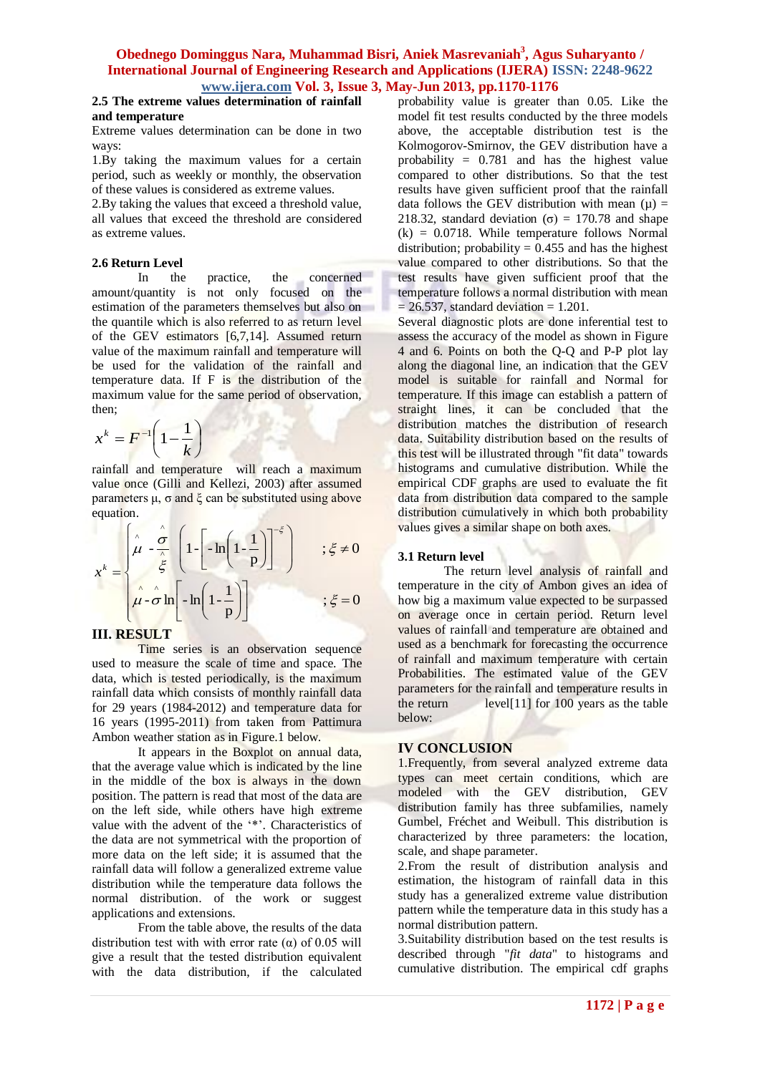#### **2.5 The extreme values determination of rainfall and temperature**

Extreme values determination can be done in two ways:

1.By taking the maximum values for a certain period, such as weekly or monthly, the observation of these values is considered as extreme values.

2.By taking the values that exceed a threshold value, all values that exceed the threshold are considered as extreme values.

## **2.6 Return Level**

In the practice, the concerned amount/quantity is not only focused on the estimation of the parameters themselves but also on the quantile which is also referred to as return level of the GEV estimators [6,7,14]. Assumed return value of the maximum rainfall and temperature will be used for the validation of the rainfall and temperature data. If F is the distribution of the maximum value for the same period of observation, then;

$$
x^k = F^{-1}\left(1 - \frac{1}{k}\right)
$$

rainfall and temperature will reach a maximum value once (Gilli and Kellezi, 2003) after assumed parameters  $\mu$ ,  $\sigma$  and  $\xi$  can be substituted using above equation.

$$
x^{k} = \begin{cases} \n\hat{\mu} - \frac{\hat{\sigma}}{\hat{\xi}} \left( 1 - \left[ -\ln\left(1 - \frac{1}{p}\right) \right]^{-\xi} \right) & ; \xi \neq 0 \\
\hat{\mu} - \hat{\sigma} \ln\left[ -\ln\left(1 - \frac{1}{p}\right) \right] & ; \xi = 0\n\end{cases}
$$

# **III. RESULT**

Time series is an observation sequence used to measure the scale of time and space. The data, which is tested periodically, is the maximum rainfall data which consists of monthly rainfall data for 29 years (1984-2012) and temperature data for 16 years (1995-2011) from taken from Pattimura Ambon weather station as in Figure.1 below.

It appears in the Boxplot on annual data, that the average value which is indicated by the line in the middle of the box is always in the down position. The pattern is read that most of the data are on the left side, while others have high extreme value with the advent of the '\*'. Characteristics of the data are not symmetrical with the proportion of more data on the left side; it is assumed that the rainfall data will follow a generalized extreme value distribution while the temperature data follows the normal distribution. of the work or suggest applications and extensions.

From the table above, the results of the data distribution test with with error rate ( $\alpha$ ) of 0.05 will give a result that the tested distribution equivalent with the data distribution, if the calculated

probability value is greater than 0.05. Like the model fit test results conducted by the three models above, the acceptable distribution test is the Kolmogorov-Smirnov, the GEV distribution have a probability = 0.781 and has the highest value compared to other distributions. So that the test results have given sufficient proof that the rainfall data follows the GEV distribution with mean  $(u)$  = 218.32, standard deviation ( $\sigma$ ) = 170.78 and shape  $(k) = 0.0718$ . While temperature follows Normal distribution; probability =  $0.455$  and has the highest value compared to other distributions. So that the test results have given sufficient proof that the temperature follows a normal distribution with mean  $= 26.537$ , standard deviation  $= 1.201$ .

Several diagnostic plots are done inferential test to assess the accuracy of the model as shown in Figure 4 and 6. Points on both the Q-Q and P-P plot lay along the diagonal line, an indication that the GEV model is suitable for rainfall and Normal for temperature. If this image can establish a pattern of straight lines, it can be concluded that the distribution matches the distribution of research data. Suitability distribution based on the results of this test will be illustrated through "fit data" towards histograms and cumulative distribution. While the empirical CDF graphs are used to evaluate the fit data from distribution data compared to the sample distribution cumulatively in which both probability values gives a similar shape on both axes.

# **3.1 Return level**

The return level analysis of rainfall and temperature in the city of Ambon gives an idea of how big a maximum value expected to be surpassed on average once in certain period. Return level values of rainfall and temperature are obtained and used as a benchmark for forecasting the occurrence of rainfall and maximum temperature with certain Probabilities. The estimated value of the GEV parameters for the rainfall and temperature results in the return level[11] for 100 years as the table below:

## **IV CONCLUSION**

1.Frequently, from several analyzed extreme data types can meet certain conditions, which are modeled with the GEV distribution, GEV distribution family has three subfamilies, namely Gumbel, Fréchet and Weibull. This distribution is characterized by three parameters: the location, scale, and shape parameter.

2.From the result of distribution analysis and estimation, the histogram of rainfall data in this study has a generalized extreme value distribution pattern while the temperature data in this study has a normal distribution pattern.

3.Suitability distribution based on the test results is described through "*fit data*" to histograms and cumulative distribution. The empirical cdf graphs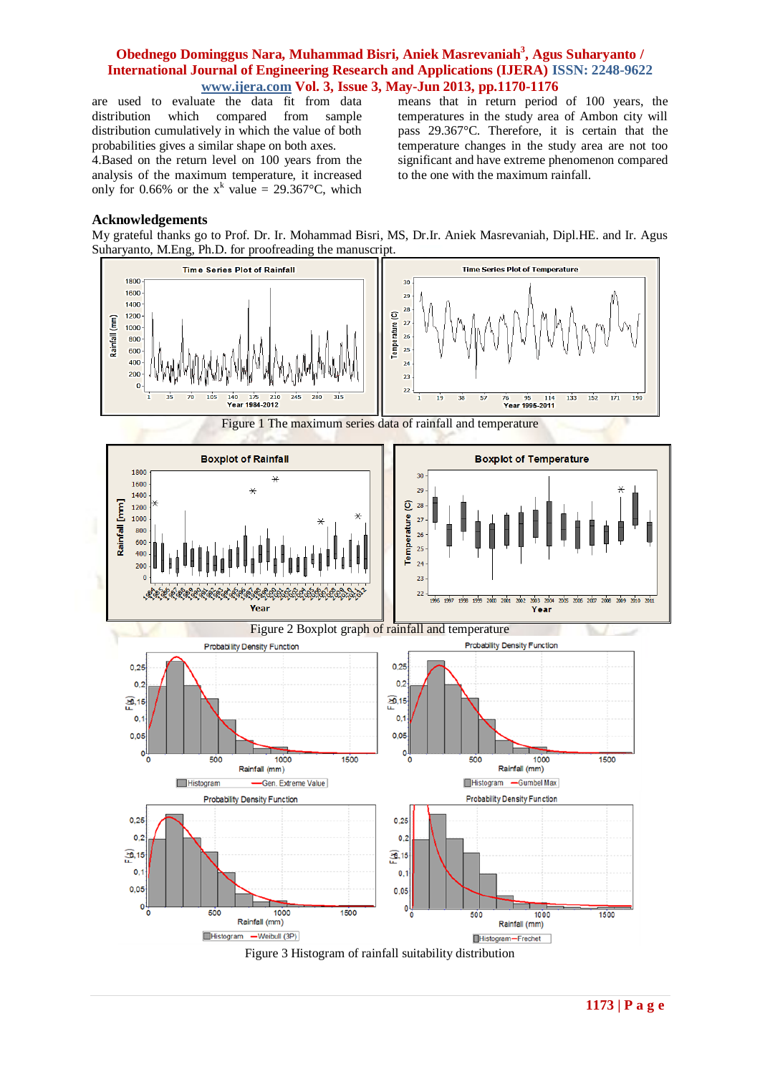are used to evaluate the data fit from data distribution which compared from sample distribution cumulatively in which the value of both probabilities gives a similar shape on both axes.

4.Based on the return level on 100 years from the analysis of the maximum temperature, it increased only for 0.66% or the  $x^k$  value = 29.367°C, which means that in return period of 100 years, the temperatures in the study area of Ambon city will pass 29.367°C. Therefore, it is certain that the temperature changes in the study area are not too significant and have extreme phenomenon compared to the one with the maximum rainfall.

#### **Acknowledgements**

My grateful thanks go to Prof. Dr. Ir. Mohammad Bisri, MS, Dr.Ir. Aniek Masrevaniah, Dipl.HE. and Ir. Agus Suharyanto, M.Eng, Ph.D. for proofreading the manuscript.

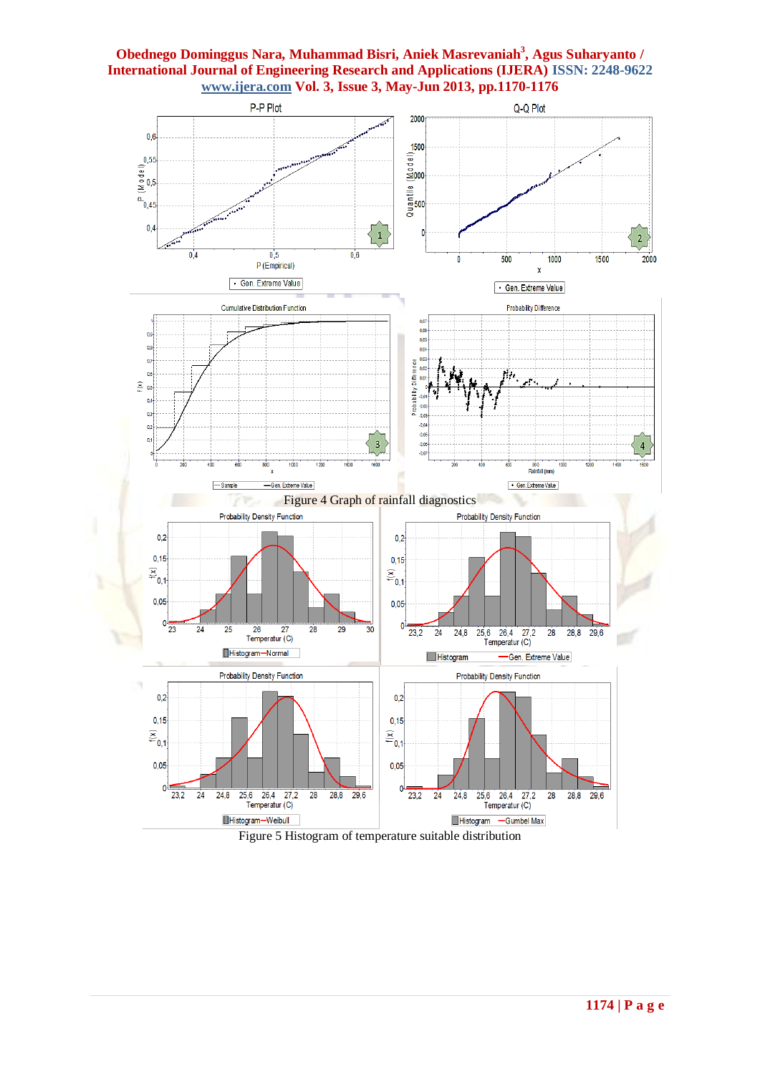

Figure 5 Histogram of temperature suitable distribution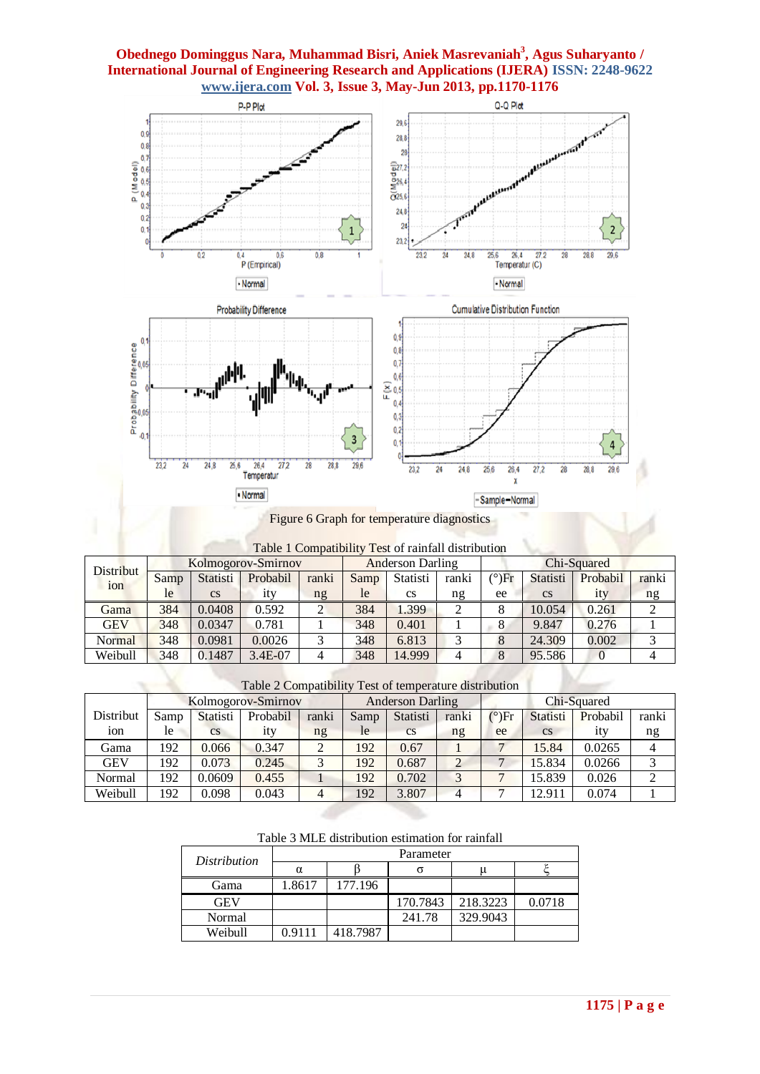

Figure 6 Graph for temperature diagnostics

| Table 1 Compatibility Test of rainfall distribution |
|-----------------------------------------------------|
|-----------------------------------------------------|

| <b>Distribut</b> |      |                        | Kolmogorov-Smirnov |       | <b>Anderson Darling</b> |           |       | Chi-Squared    |           |          |       |
|------------------|------|------------------------|--------------------|-------|-------------------------|-----------|-------|----------------|-----------|----------|-------|
| ion              | Samp | Statisti               | Probabil           | ranki | Samp                    | Statisti  | ranki | $^{\circ}$ )Fr | Statisti  | Probabil | ranki |
|                  | le   | $\mathbf{c}\mathbf{s}$ |                    | ng    | le                      | <b>CS</b> | ng    | ee             | <b>CS</b> | 1ty      | ng    |
| Gama             | 384  | 0.0408                 | 0.592              |       | 384                     | 1.399     |       |                | 10.054    | 0.261    |       |
| GEV              | 348  | 0.0347                 | 0.781              |       | 348                     | 0.401     |       | ∩              | 9.847     | 0.276    |       |
| Normal           | 348  | 0.0981                 | 0.0026             |       | 348                     | 6.813     |       |                | 24.309    | 0.002    |       |
| Weibull          | 348  | 0.1487                 | 3.4E-07            | 4     | 348                     | 14.999    |       | 8              | 95.586    |          |       |

Table 2 Compatibility Test of temperature distribution

|            |      | Kolmogorov-Smirnov     |          |       |      | <b>Anderson Darling</b> |       |                | Chi-Squared |          |       |
|------------|------|------------------------|----------|-------|------|-------------------------|-------|----------------|-------------|----------|-------|
| Distribut  | Samp | Statisti               | Probabil | ranki | Samp | Statisti                | ranki | $^{\circ}$ )Fr | Statisti    | Probabil | ranki |
| ion        | le   | $\mathbf{c}\mathbf{s}$ | ıtv      | ng    | le   | $\mathbf{c}\mathbf{s}$  | ng    | ee             | <b>CS</b>   | ıtv      | ng    |
| Gama       | 192  | 0.066                  | 0.347    |       | 192  | 0.67                    |       |                | 15.84       | 0.0265   |       |
| <b>GEV</b> | 192  | 0.073                  | 0.245    |       | 192  | 0.687                   | ◠     |                | 15.834      | 0.0266   |       |
| Normal     | 192  | 0.0609                 | 0.455    |       | 192  | 0.702                   |       |                | 15.839      | 0.026    |       |
| Weibull    | 192  | 0.098                  | 0.043    | 4     | 192  | 3.807                   |       |                | 12.911      | 0.074    |       |

Table 3 MLE distribution estimation for rainfall

| Distribution | Parameter |          |          |          |        |  |  |  |
|--------------|-----------|----------|----------|----------|--------|--|--|--|
|              | $\alpha$  |          |          |          |        |  |  |  |
| Gama         | 1.8617    | 177.196  |          |          |        |  |  |  |
| <b>GEV</b>   |           |          | 170.7843 | 218.3223 | 0.0718 |  |  |  |
| Normal       |           |          | 241.78   | 329.9043 |        |  |  |  |
| Weibull      | 0.9111    | 418.7987 |          |          |        |  |  |  |